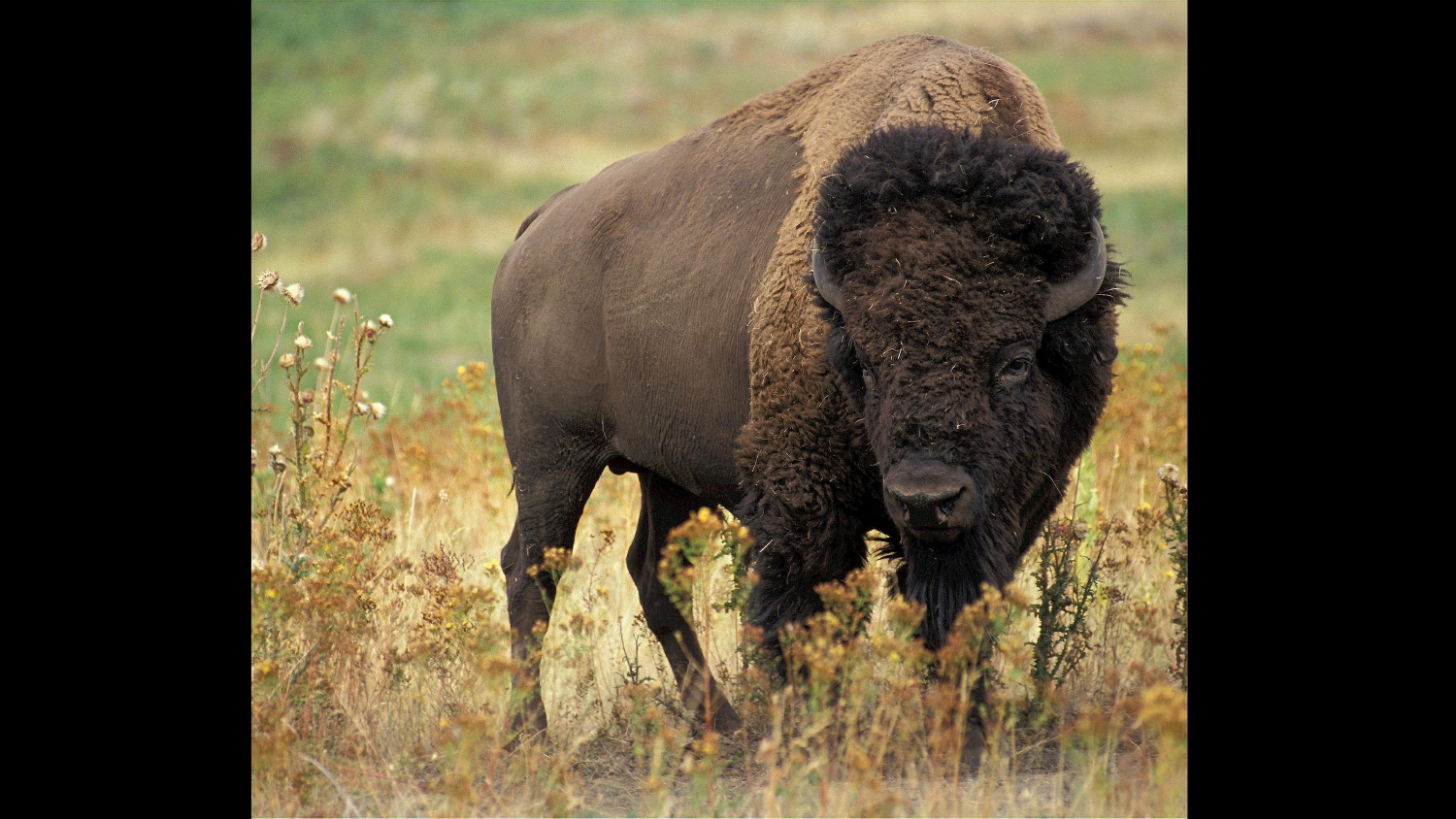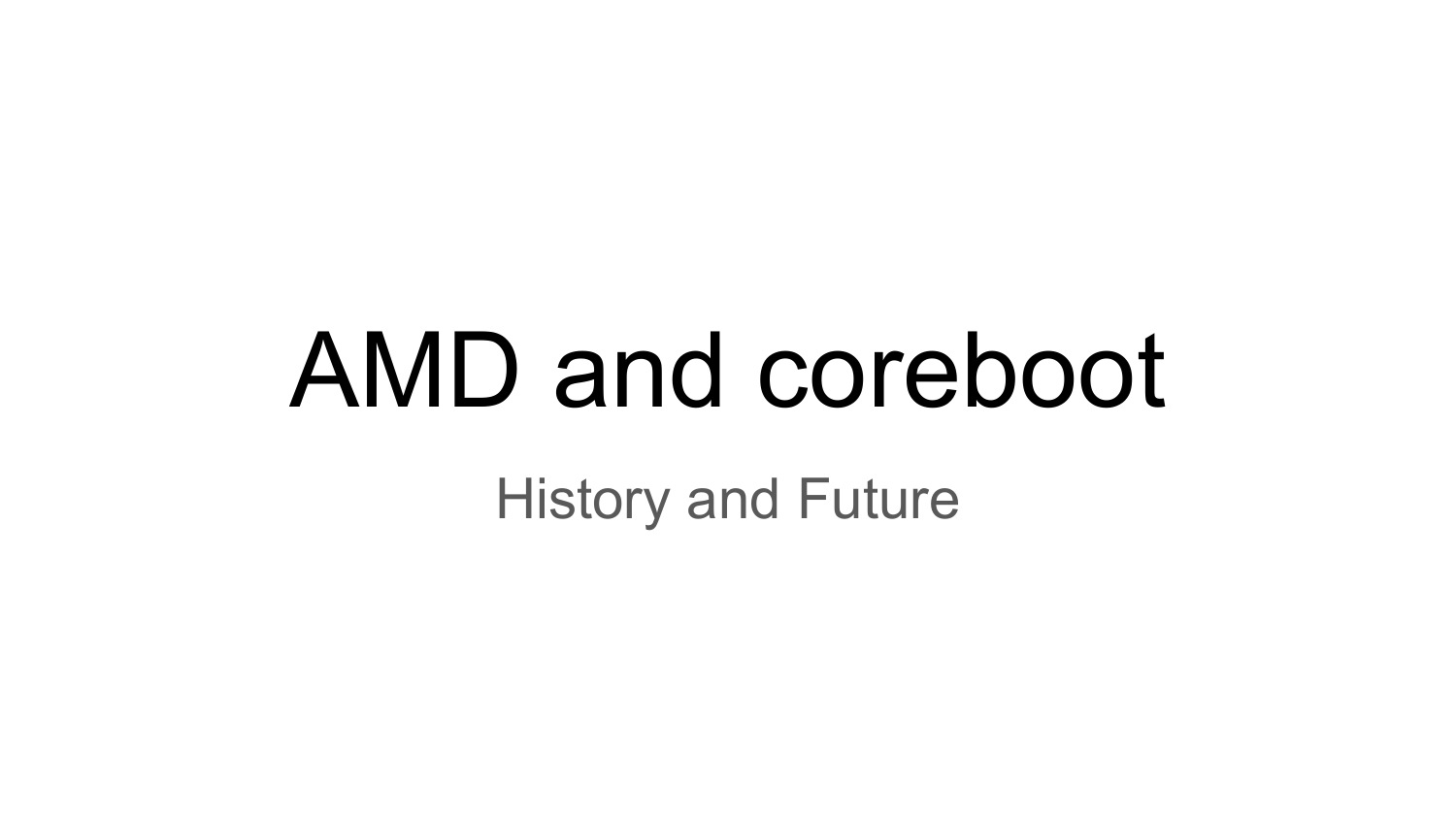# AMD and coreboot

History and Future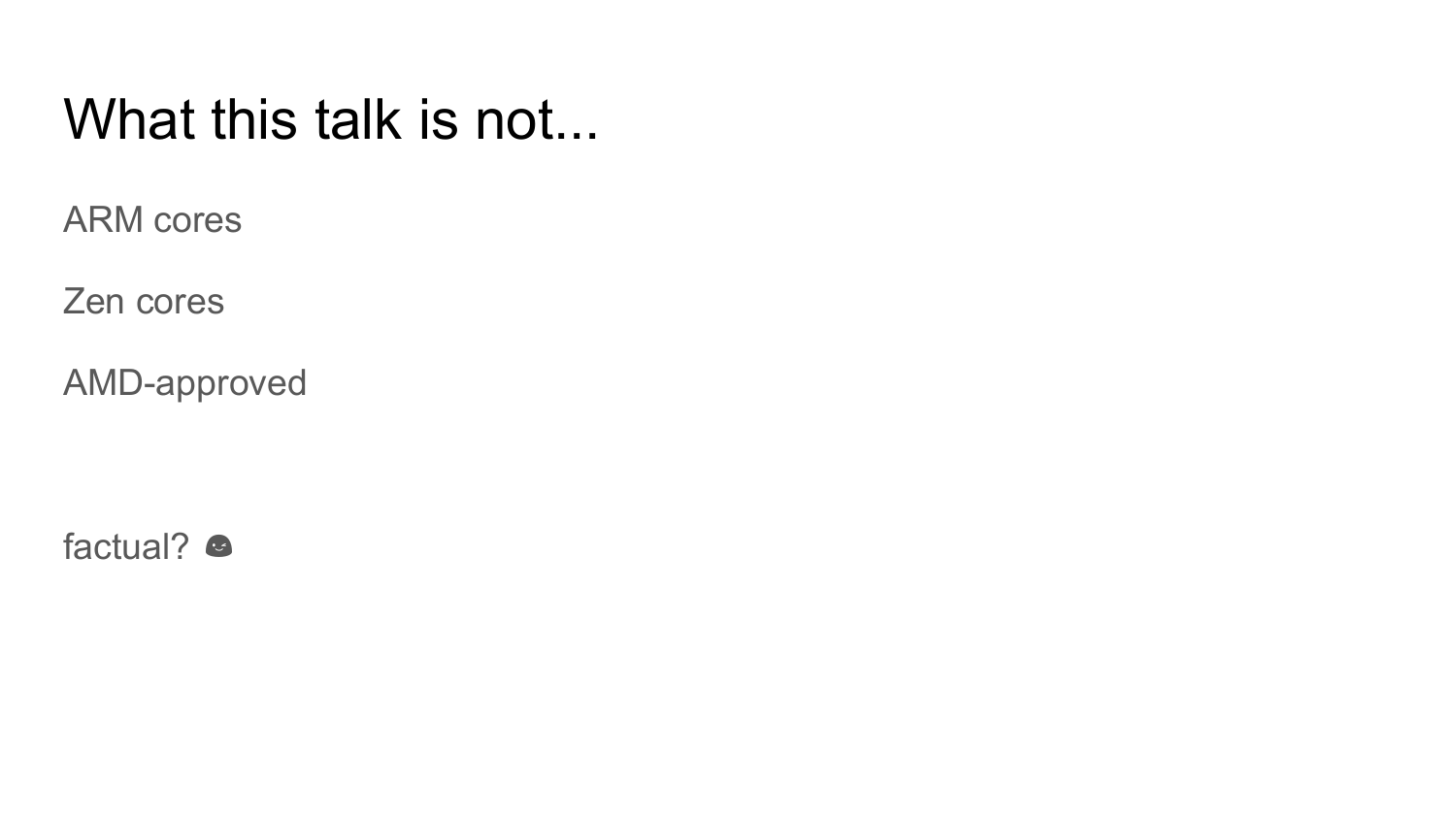#### What this talk is not...

ARM cores

Zen cores

AMD-approved

factual?  $\bullet$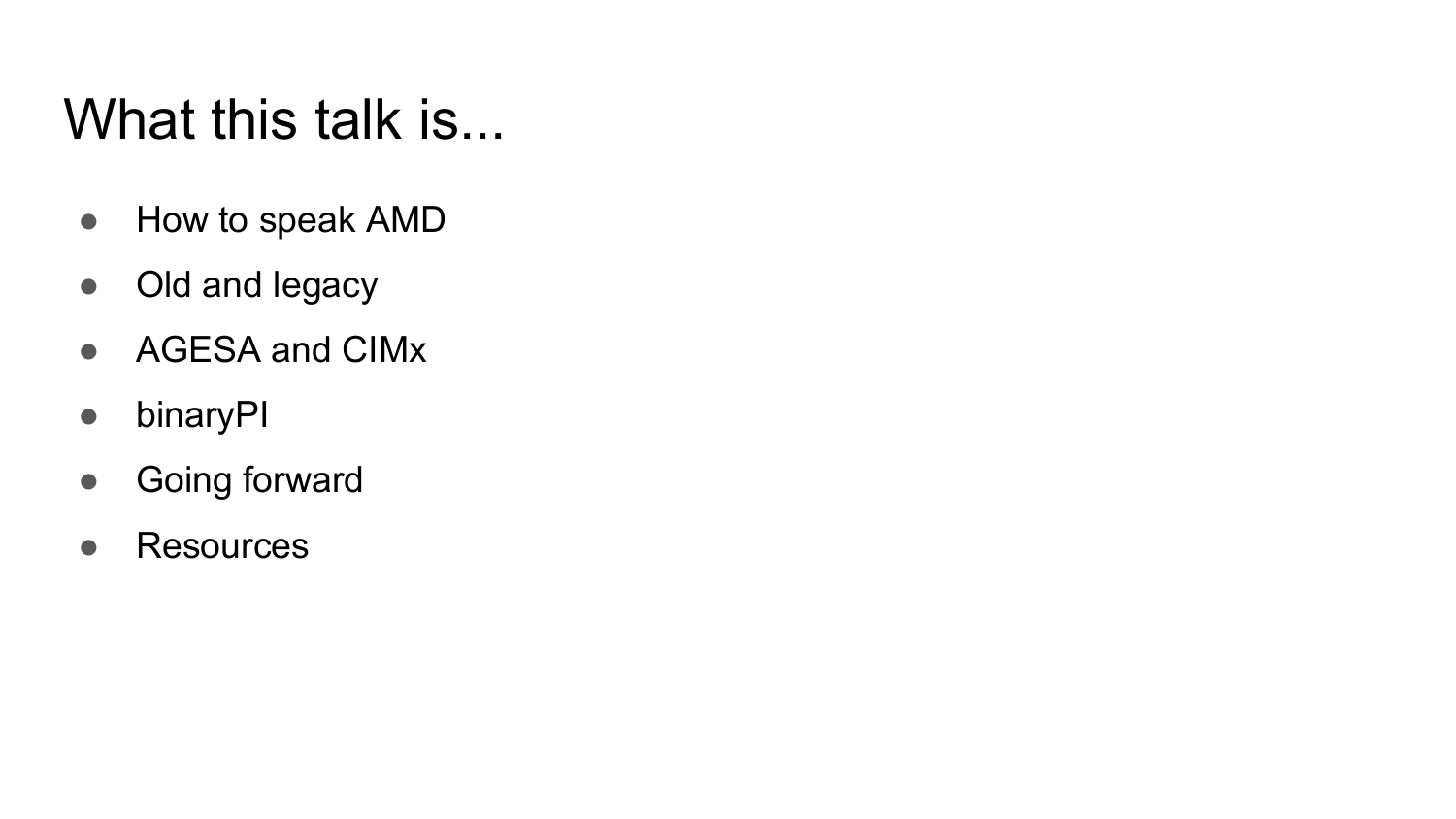#### What this talk is...

- How to speak AMD
- Old and legacy
- AGESA and CIM<sub>X</sub>
- binaryPI
- Going forward
- Resources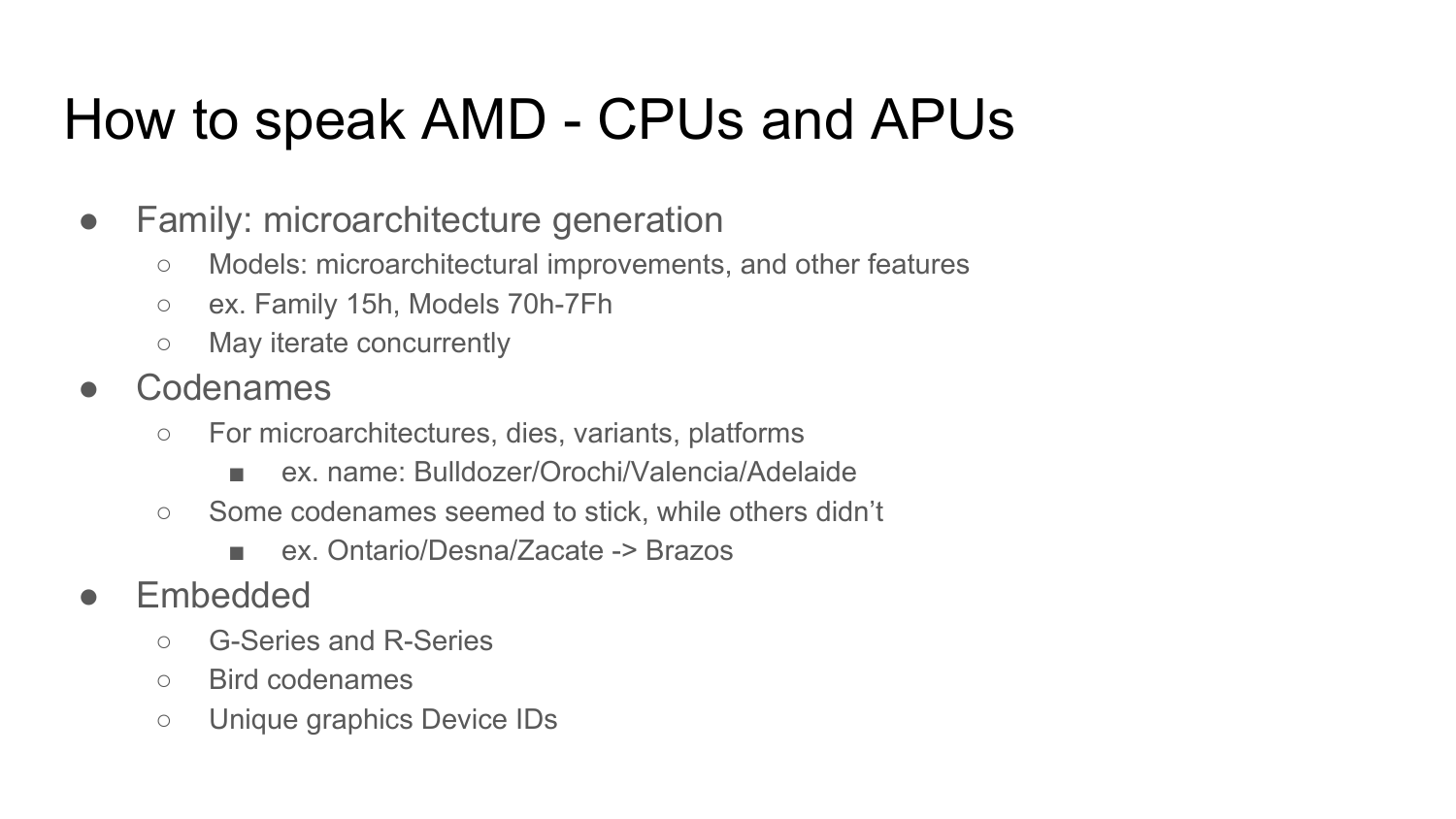## How to speak AMD - CPUs and APUs

- Family: microarchitecture generation
	- Models: microarchitectural improvements, and other features
	- ex. Family 15h, Models 70h-7Fh
	- May iterate concurrently
- **Codenames** 
	- For microarchitectures, dies, variants, platforms
		- ex. name: Bulldozer/Orochi/Valencia/Adelaide
	- Some codenames seemed to stick, while others didn't
		- ex. Ontario/Desna/Zacate -> Brazos
- Embedded
	- G-Series and R-Series
	- Bird codenames
	- Unique graphics Device IDs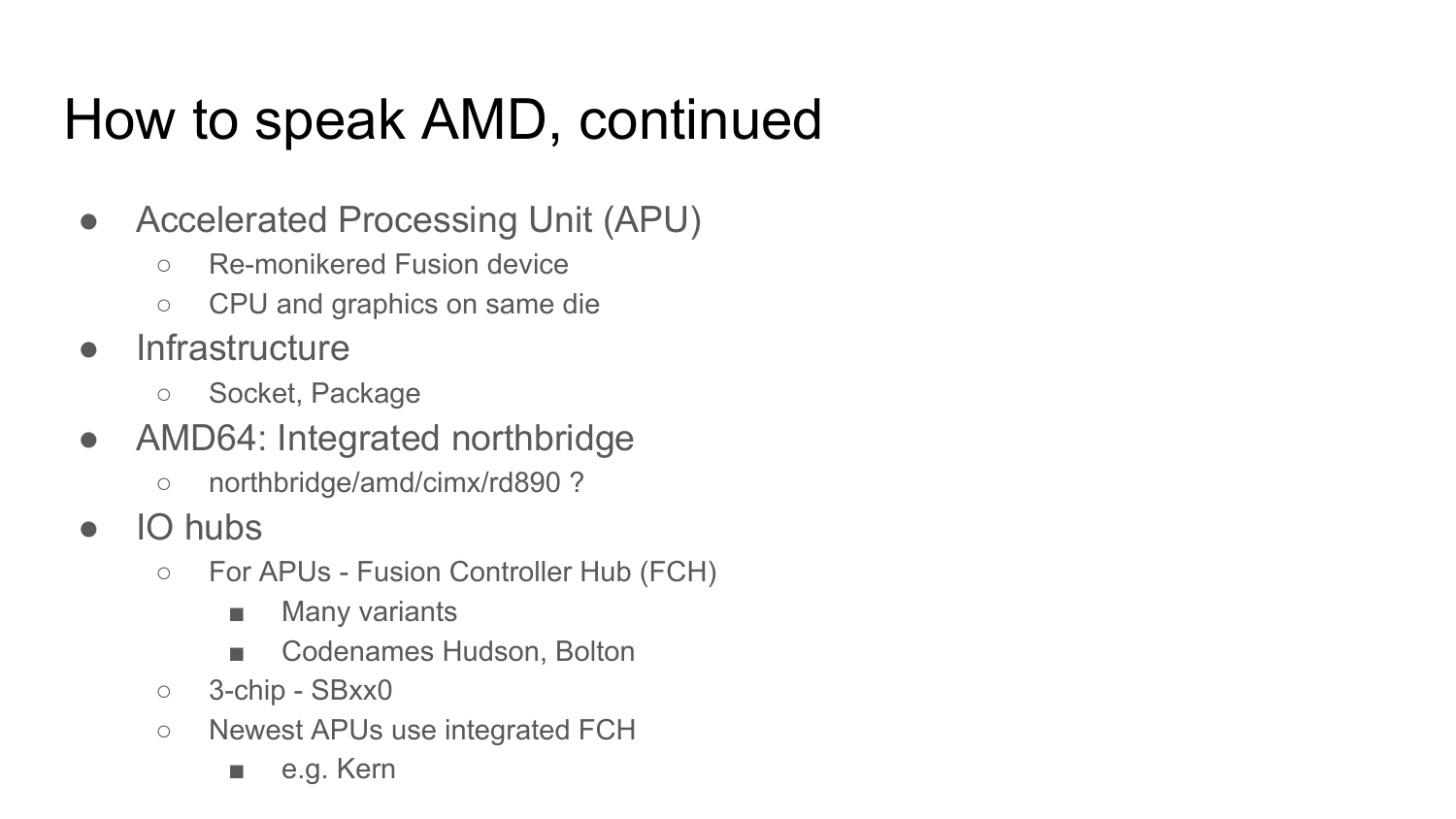# How to speak AMD, continued

- Accelerated Processing Unit (APU)
	- Re-monikered Fusion device
	- CPU and graphics on same die
- Infrastructure
	- Socket, Package
- AMD64: Integrated northbridge
	- northbridge/amd/cimx/rd890 ?
- IO hubs
	- For APUs Fusion Controller Hub (FCH)
		- Many variants
		- Codenames Hudson, Bolton
	- 3-chip SBxx0
	- Newest APUs use integrated FCH
		- e.g. Kern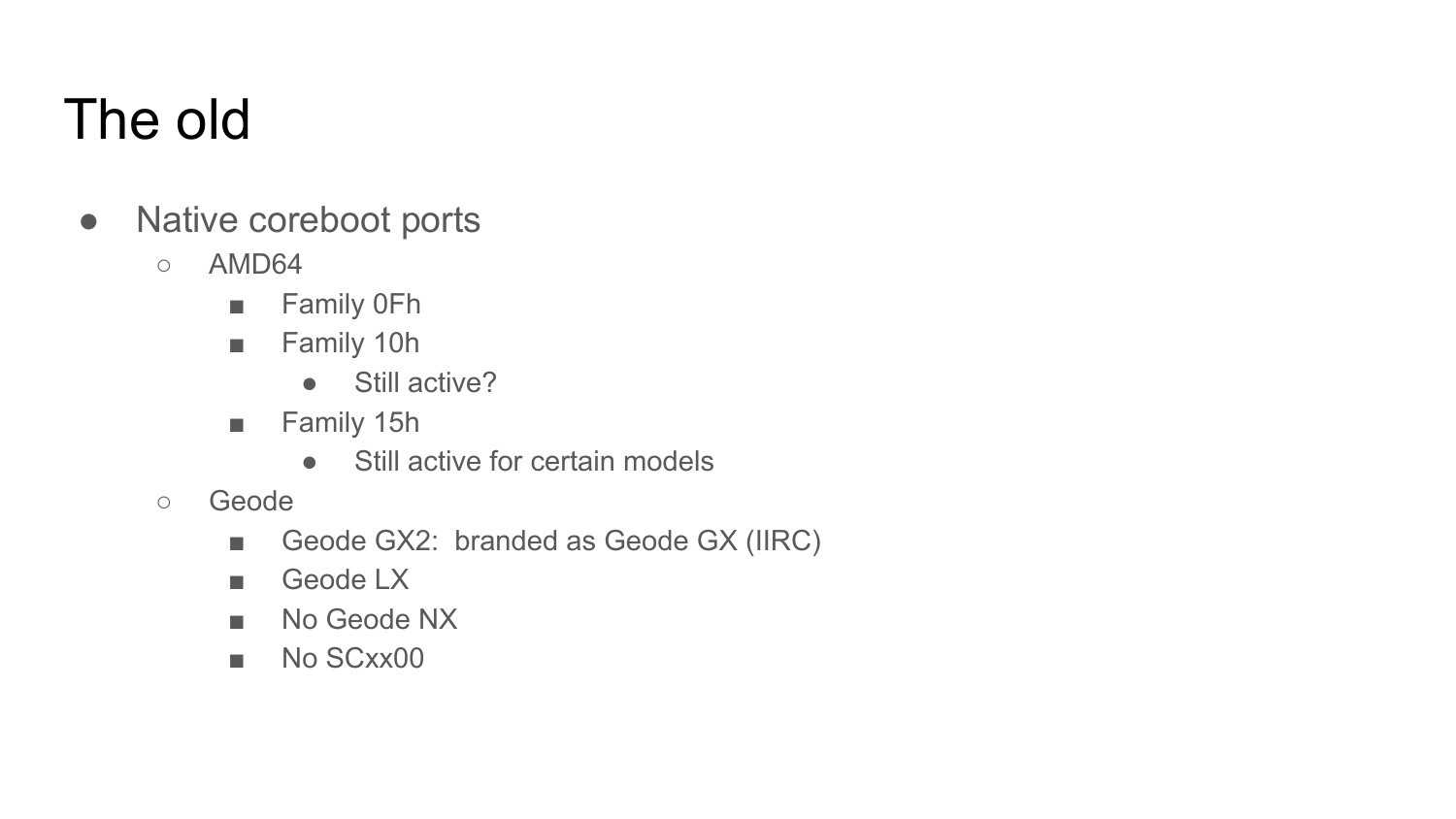## The old

- Native coreboot ports
	- AMD64
		- Family 0Fh
		- Family 10h
			- Still active?
		- Family 15h
			- Still active for certain models
	- Geode
		- Geode GX2: branded as Geode GX (IIRC)
		- Geode LX
		- No Geode NX
		- No SCxx00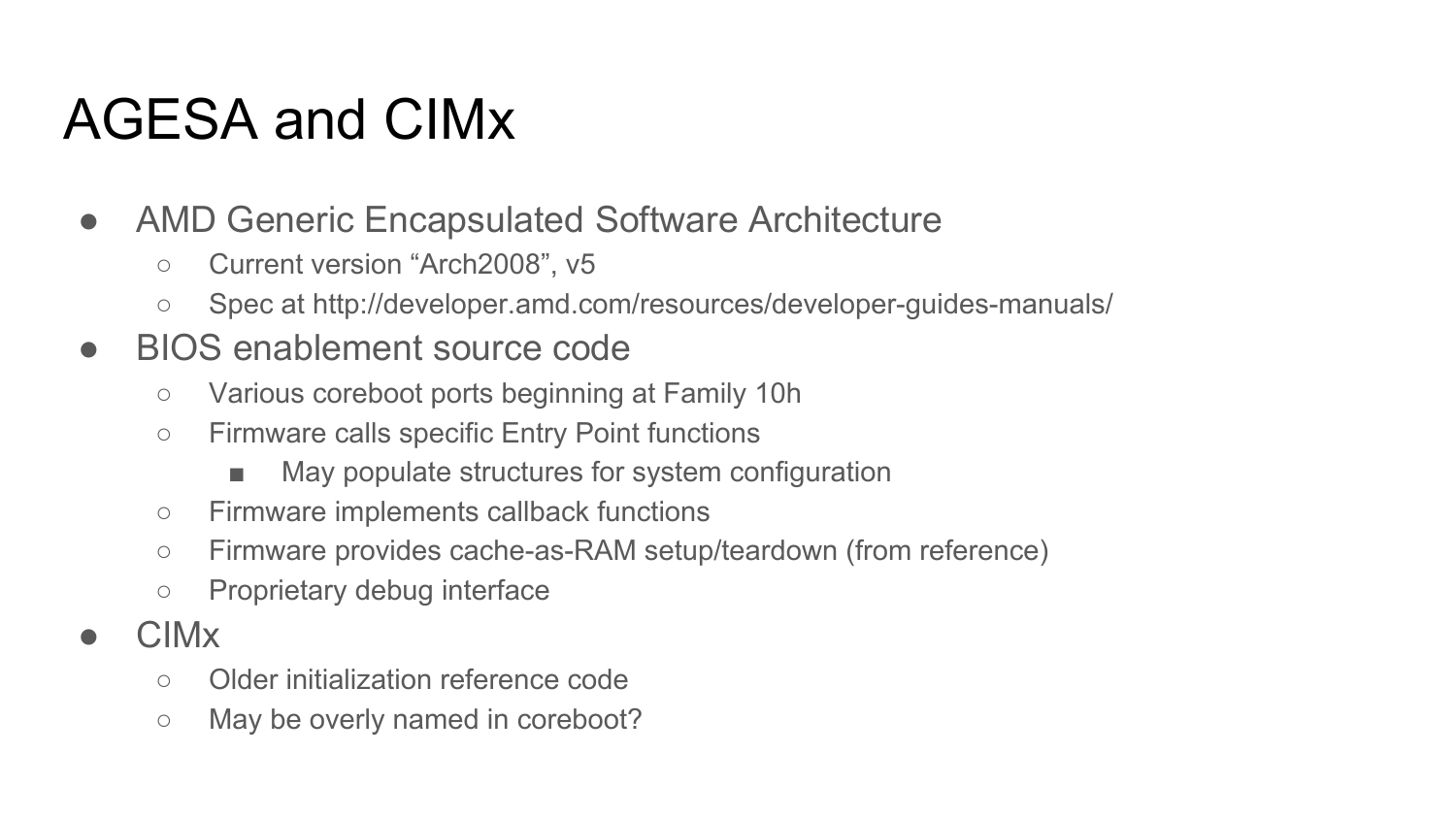#### AGESA and CIMx

- AMD Generic Encapsulated Software Architecture
	- Current version "Arch2008", v5
	- Spec at http://developer.amd.com/resources/developer-guides-manuals/
- BIOS enablement source code
	- Various coreboot ports beginning at Family 10h
	- Firmware calls specific Entry Point functions
		- May populate structures for system configuration
	- Firmware implements callback functions
	- Firmware provides cache-as-RAM setup/teardown (from reference)
	- Proprietary debug interface
- CIM<sub>x</sub>
	- Older initialization reference code
	- May be overly named in coreboot?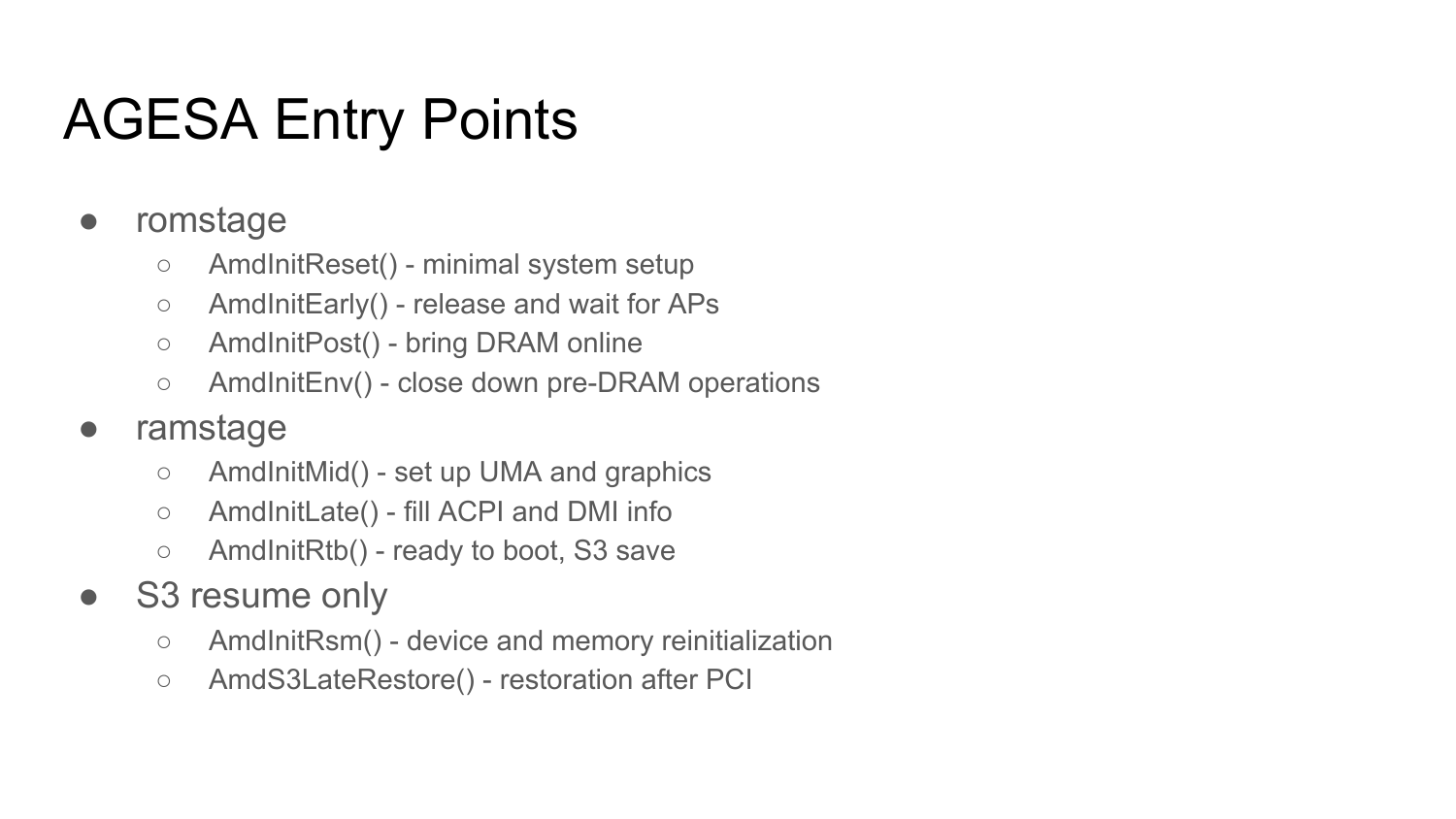# AGESA Entry Points

- romstage
	- AmdInitReset() minimal system setup
	- AmdInitEarly() release and wait for APs
	- AmdInitPost() bring DRAM online
	- AmdInitEnv() close down pre-DRAM operations

#### ● ramstage

- $\circ$  AmdInitMid() set up UMA and graphics
- AmdInitLate() fill ACPI and DMI info
- AmdInitRtb() ready to boot, S3 save
- S3 resume only
	- AmdInitRsm() device and memory reinitialization
	- AmdS3LateRestore() restoration after PCI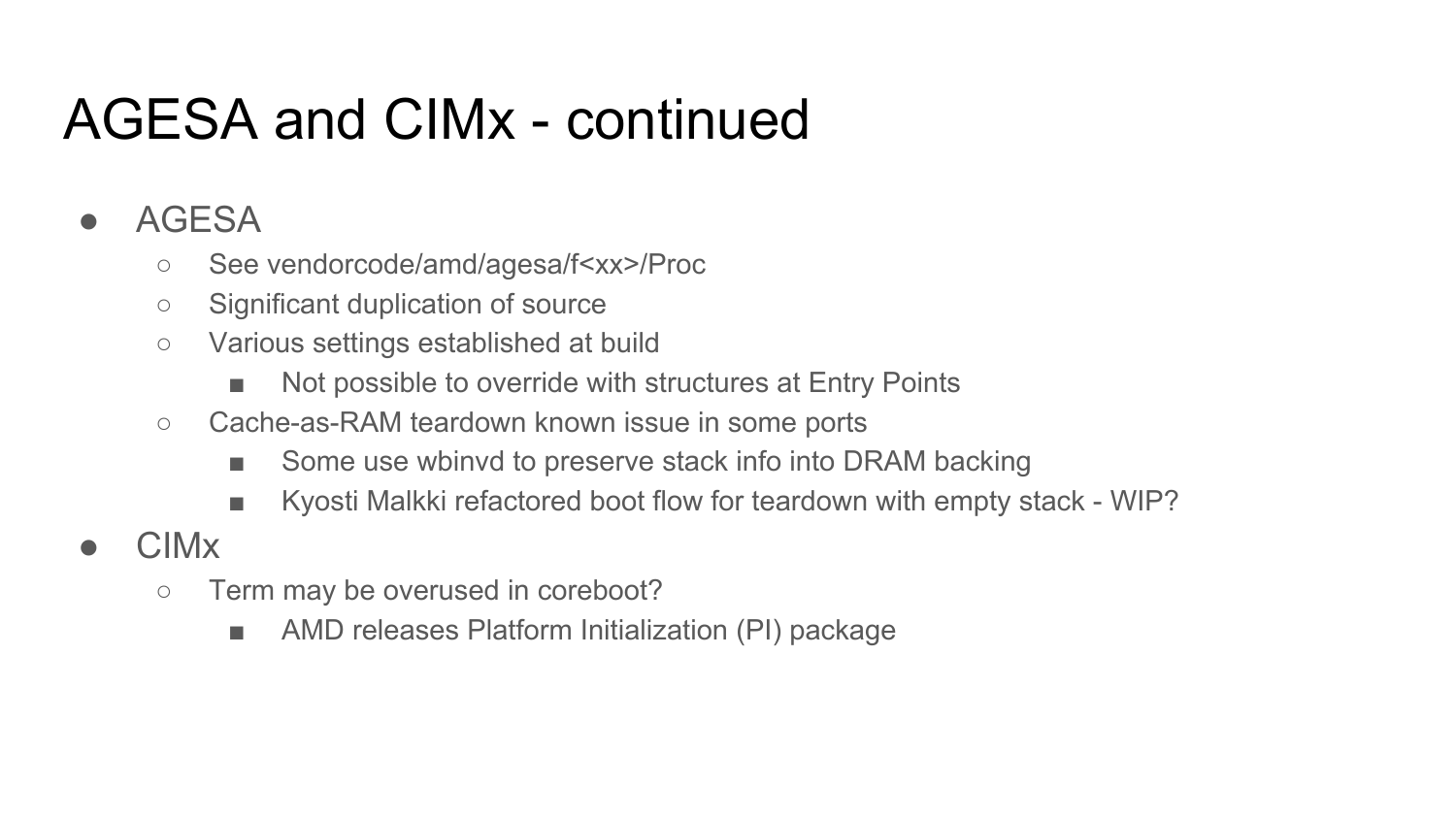#### AGESA and CIMx - continued

#### **AGESA**

- See vendorcode/amd/agesa/f<xx>/Proc
- Significant duplication of source
- Various settings established at build
	- Not possible to override with structures at Entry Points
- Cache-as-RAM teardown known issue in some ports
	- Some use wbinvd to preserve stack info into DRAM backing
	- Kyosti Malkki refactored boot flow for teardown with empty stack WIP?
- CIM<sub>x</sub>
	- Term may be overused in coreboot?
		- AMD releases Platform Initialization (PI) package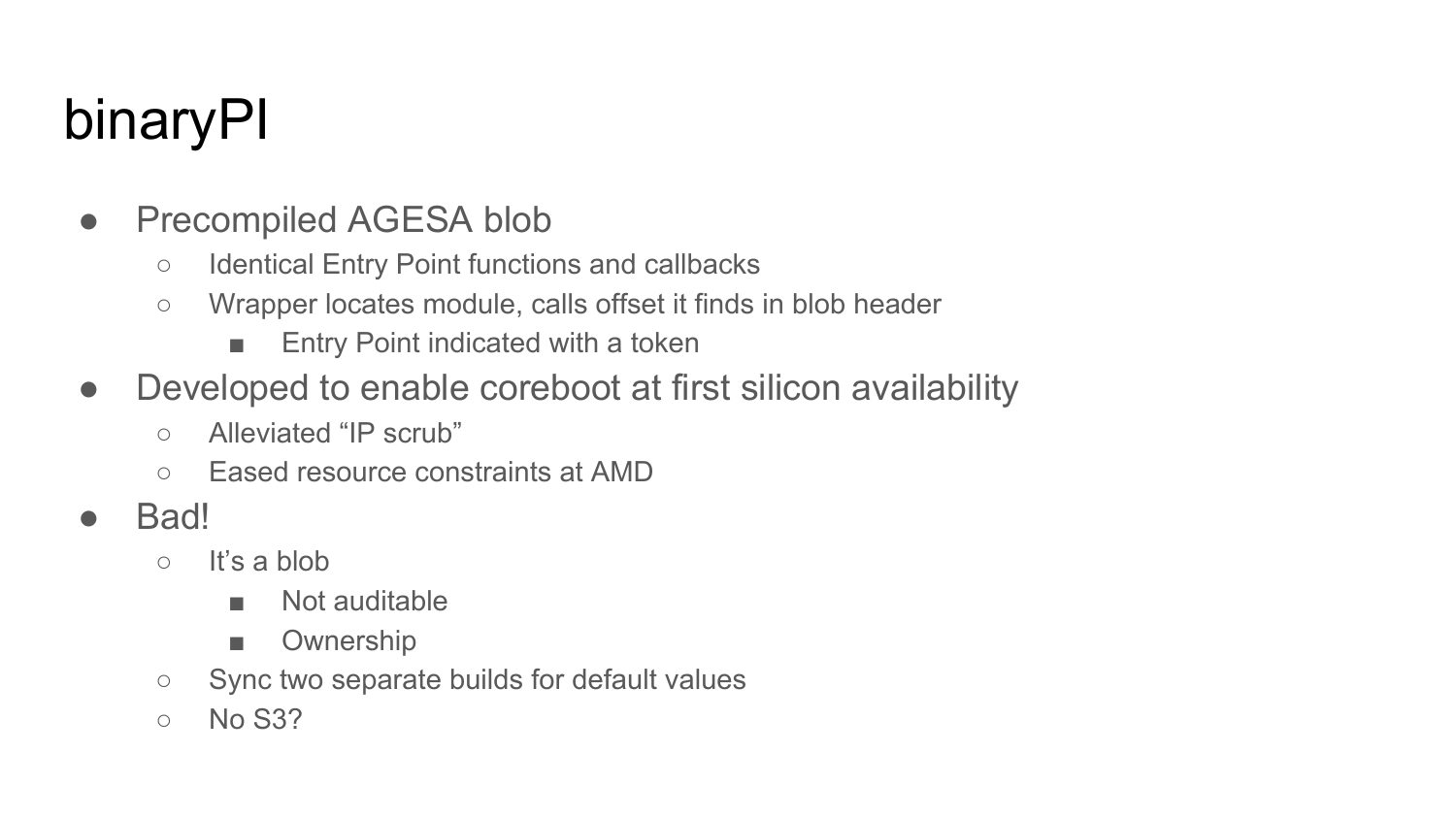# binaryPI

- Precompiled AGESA blob
	- Identical Entry Point functions and callbacks
	- Wrapper locates module, calls offset it finds in blob header
		- Entry Point indicated with a token
- Developed to enable coreboot at first silicon availability
	- Alleviated "IP scrub"
	- Eased resource constraints at AMD
- Bad!
	- It's a blob
		- Not auditable
		- Ownership
	- Sync two separate builds for default values
	- $\circ$  No S3?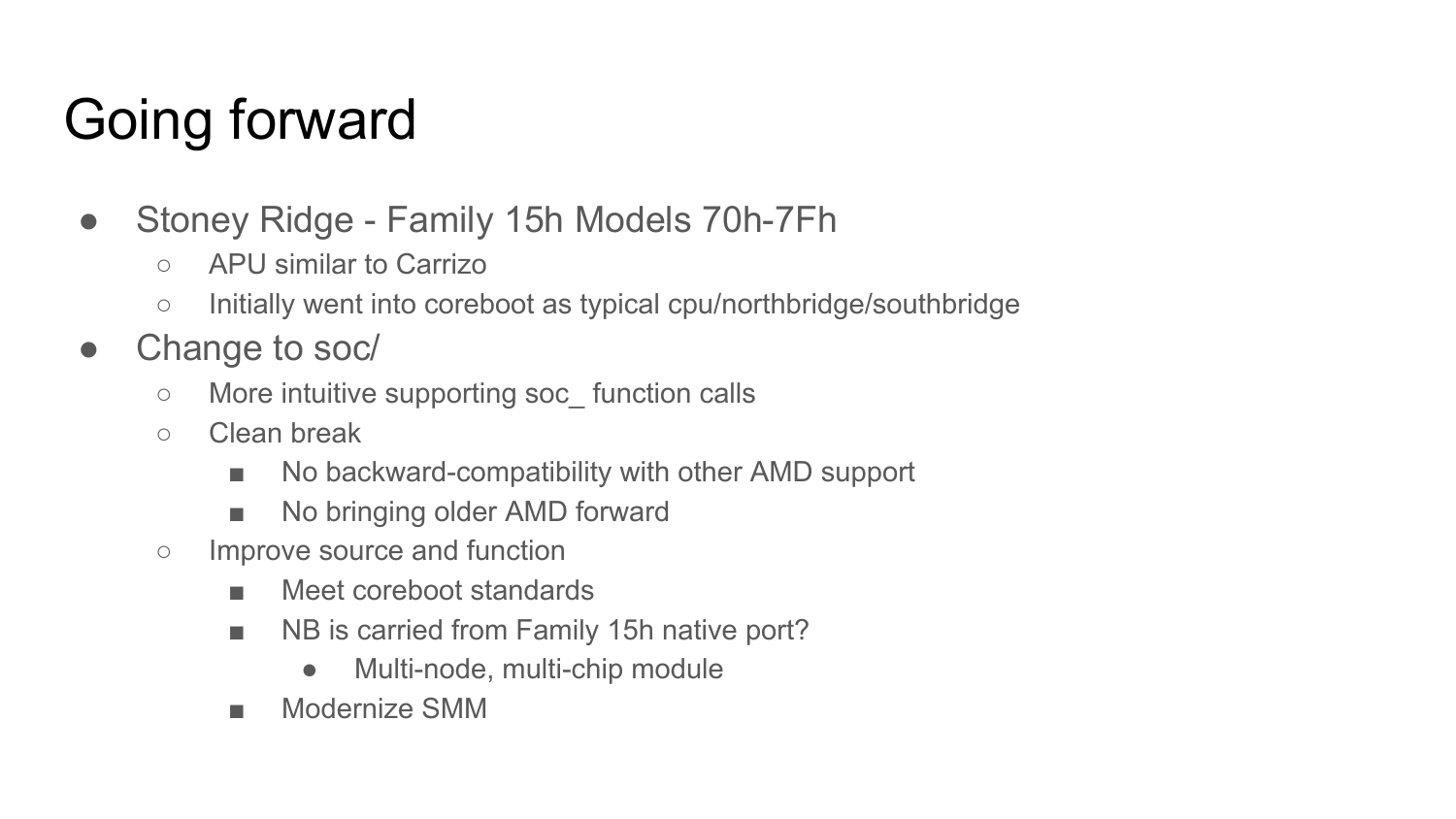# Going forward

- Stoney Ridge Family 15h Models 70h-7Fh
	- APU similar to Carrizo
	- Initially went into coreboot as typical cpu/northbridge/southbridge
- Change to soc/
	- More intuitive supporting soc function calls
	- Clean break
		- No backward-compatibility with other AMD support
		- No bringing older AMD forward
	- Improve source and function
		- Meet coreboot standards
		- NB is carried from Family 15h native port?
			- Multi-node, multi-chip module
		- Modernize SMM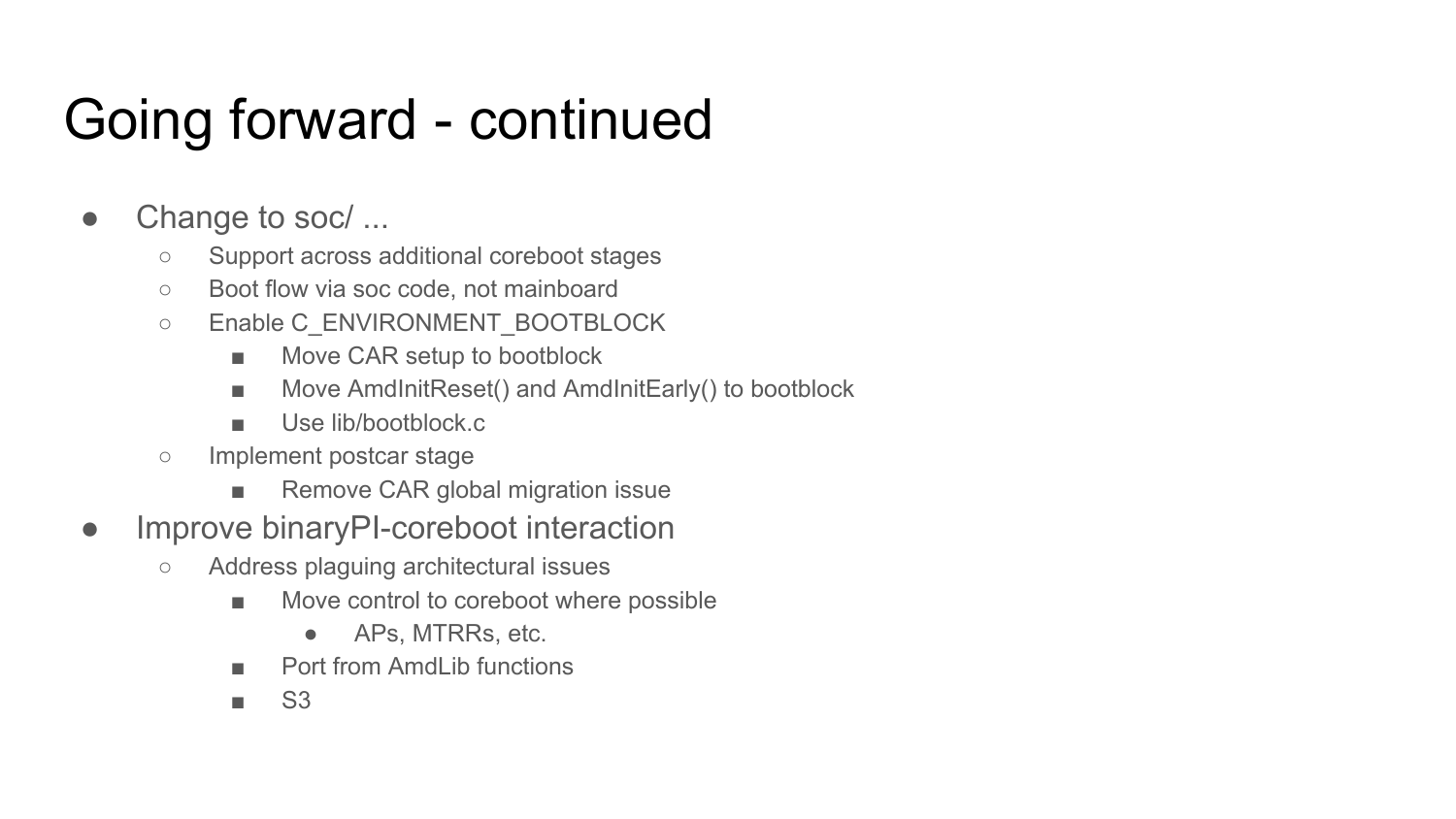# Going forward - continued

- Change to soc/ ...
	- Support across additional coreboot stages
	- Boot flow via soc code, not mainboard
	- o Enable C\_ENVIRONMENT\_BOOTBLOCK
		- Move CAR setup to bootblock
		- Move AmdInitReset() and AmdInitEarly() to bootblock
		- Use lib/bootblock.c
	- Implement postcar stage
		- Remove CAR global migration issue
- Improve binaryPI-coreboot interaction
	- Address plaguing architectural issues
		- Move control to coreboot where possible
			- APs, MTRRs, etc.
		- Port from AmdLib functions
		- $\blacksquare$  S3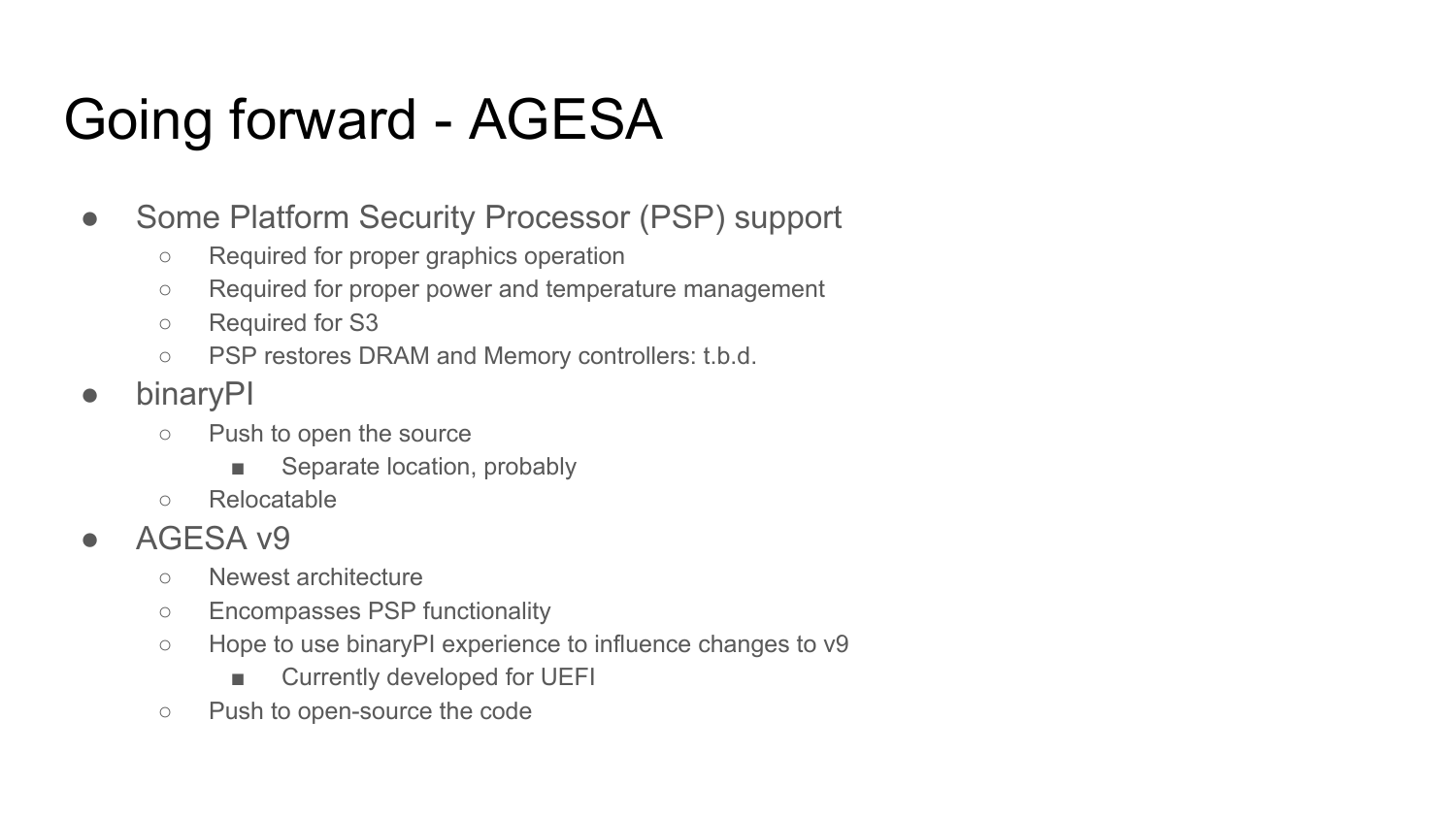# Going forward - AGESA

- Some Platform Security Processor (PSP) support
	- Required for proper graphics operation
	- Required for proper power and temperature management
	- Required for S3
	- PSP restores DRAM and Memory controllers: t.b.d.
- binaryPI
	- Push to open the source
		- Separate location, probably
	- Relocatable
- AGESA v9
	- Newest architecture
	- Encompasses PSP functionality
	- Hope to use binaryPI experience to influence changes to v9
		- Currently developed for UEFI
	- Push to open-source the code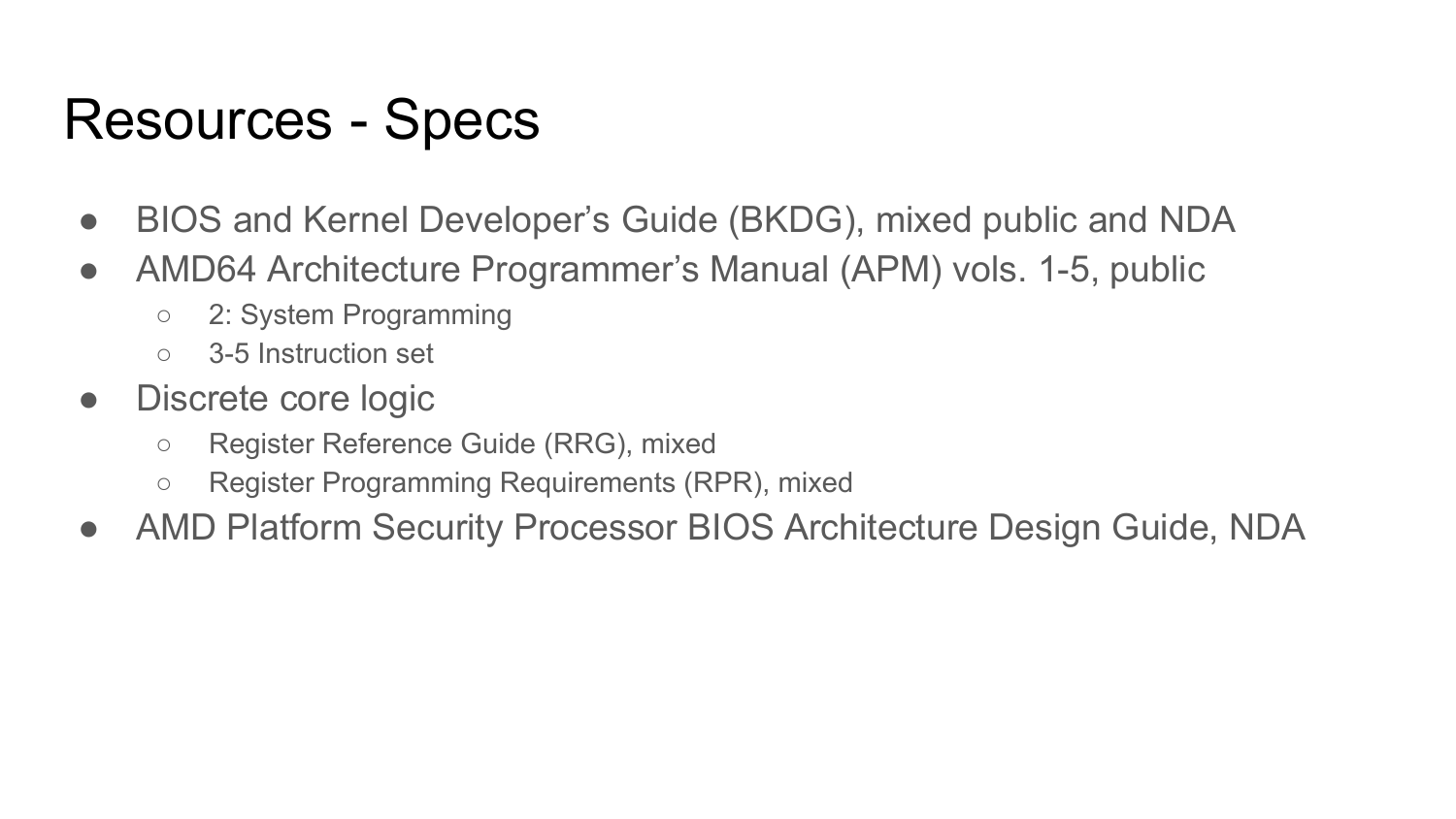#### Resources - Specs

- BIOS and Kernel Developer's Guide (BKDG), mixed public and NDA
- AMD64 Architecture Programmer's Manual (APM) vols. 1-5, public
	- 2: System Programming
	- 3-5 Instruction set
- Discrete core logic
	- Register Reference Guide (RRG), mixed
	- Register Programming Requirements (RPR), mixed
- AMD Platform Security Processor BIOS Architecture Design Guide, NDA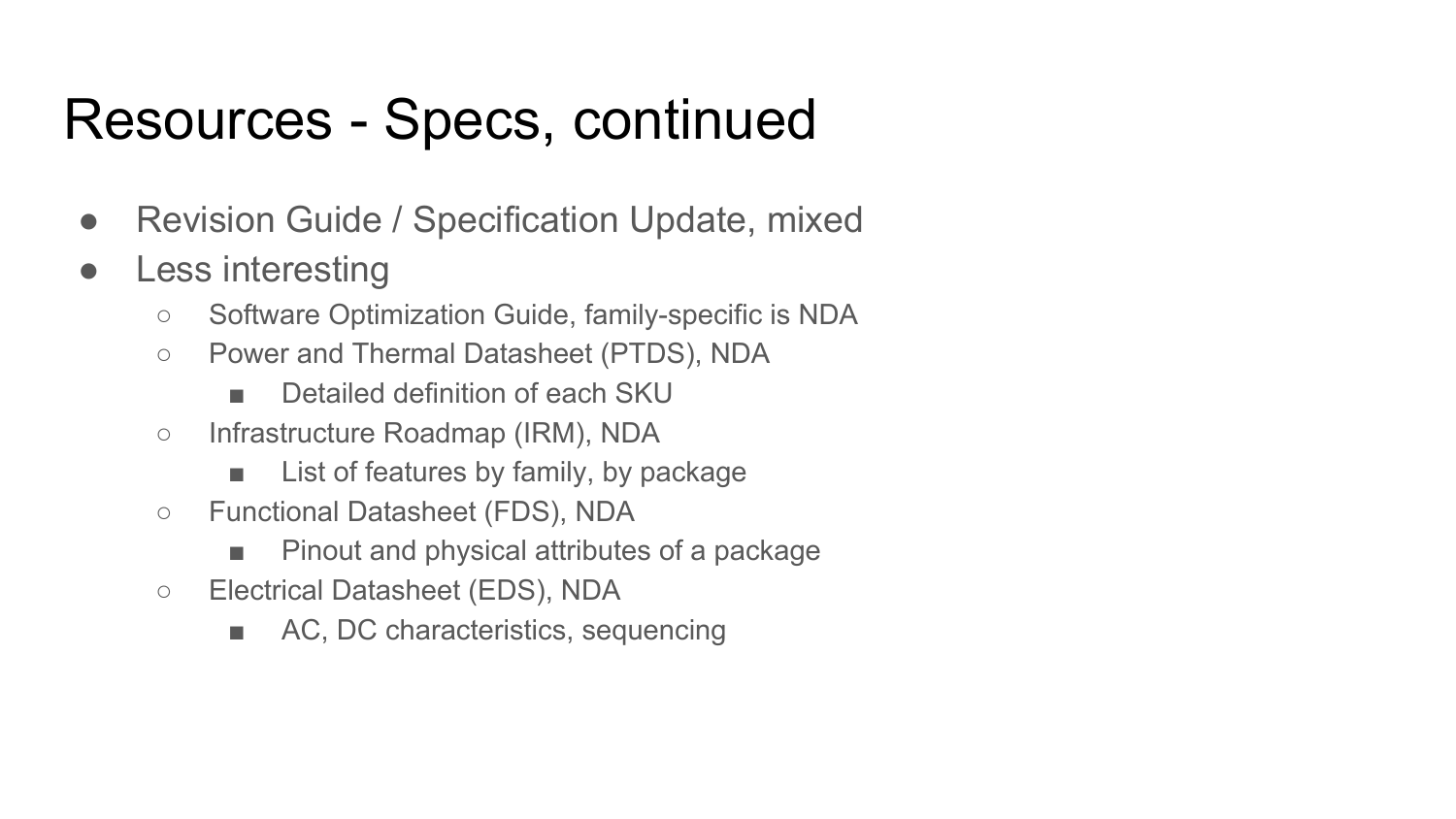#### Resources - Specs, continued

- Revision Guide / Specification Update, mixed
- Less interesting
	- Software Optimization Guide, family-specific is NDA
	- Power and Thermal Datasheet (PTDS), NDA
		- Detailed definition of each SKU
	- Infrastructure Roadmap (IRM), NDA
		- List of features by family, by package
	- Functional Datasheet (FDS), NDA
		- Pinout and physical attributes of a package
	- Electrical Datasheet (EDS), NDA
		- AC, DC characteristics, sequencing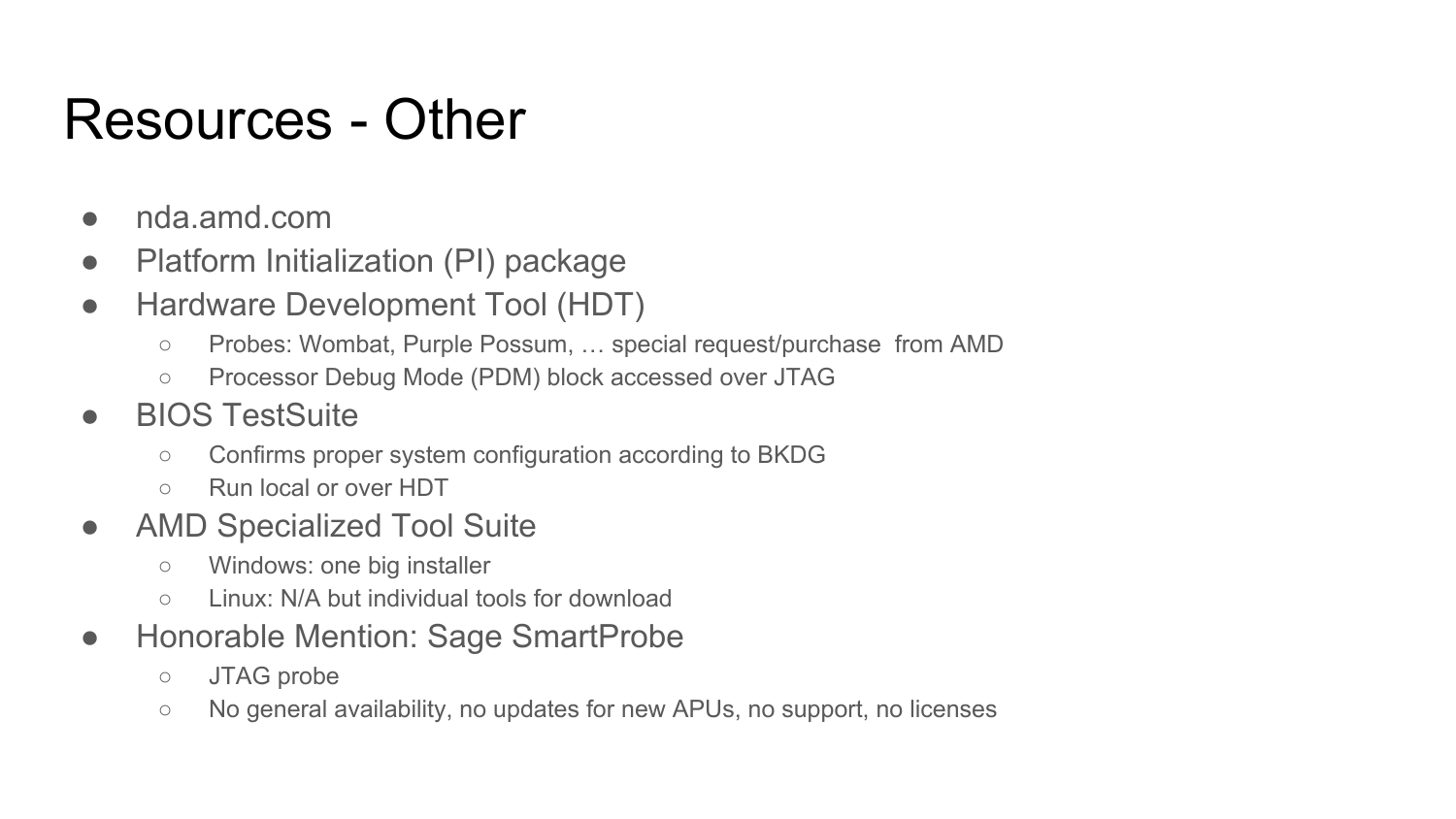#### Resources - Other

- nda.amd.com
- Platform Initialization (PI) package
- Hardware Development Tool (HDT)
	- Probes: Wombat, Purple Possum, … special request/purchase from AMD
	- Processor Debug Mode (PDM) block accessed over JTAG
- BIOS TestSuite
	- Confirms proper system configuration according to BKDG
	- Run local or over HDT
- AMD Specialized Tool Suite
	- Windows: one big installer
	- Linux: N/A but individual tools for download
- Honorable Mention: Sage SmartProbe
	- JTAG probe
	- No general availability, no updates for new APUs, no support, no licenses